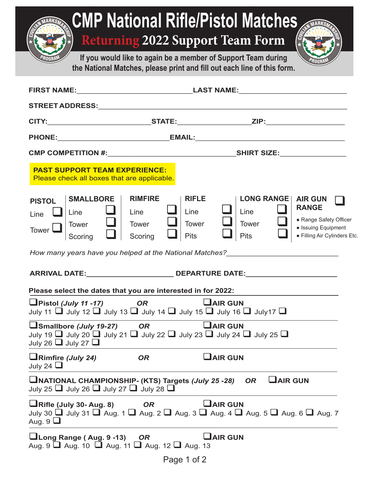| <b>CMP National Rifle/Pistol Matches</b><br><b>Returning 2022 Support Team Form</b><br>If you would like to again be a member of Support Team during<br>the National Matches, please print and fill out each line of this form. |                                                                                                   |                                                                                                                                         |                                                                                               |  |
|---------------------------------------------------------------------------------------------------------------------------------------------------------------------------------------------------------------------------------|---------------------------------------------------------------------------------------------------|-----------------------------------------------------------------------------------------------------------------------------------------|-----------------------------------------------------------------------------------------------|--|
|                                                                                                                                                                                                                                 |                                                                                                   |                                                                                                                                         |                                                                                               |  |
|                                                                                                                                                                                                                                 |                                                                                                   |                                                                                                                                         |                                                                                               |  |
|                                                                                                                                                                                                                                 |                                                                                                   |                                                                                                                                         |                                                                                               |  |
|                                                                                                                                                                                                                                 |                                                                                                   |                                                                                                                                         |                                                                                               |  |
|                                                                                                                                                                                                                                 |                                                                                                   |                                                                                                                                         |                                                                                               |  |
| <b>PAST SUPPORT TEAM EXPERIENCE:</b><br>Please check all boxes that are applicable.                                                                                                                                             |                                                                                                   |                                                                                                                                         |                                                                                               |  |
| <b>SMALLBORE</b><br><b>PISTOL</b><br>Line<br>Line<br><b>Tower</b><br>Tower<br>Scoring<br>How many years have you helped at the National Matches?                                                                                | <b>RIMFIRE</b><br><b>RIFLE</b><br>Line<br>Line<br>Tower<br><b>Tower</b><br><b>Pits</b><br>Scoring | <b>LONG RANGE   AIR GUN</b><br>Line<br>Tower<br><b>Pits</b>                                                                             | <b>RANGE</b><br>• Range Safety Officer<br>• Issuing Equipment<br>• Filling Air Cylinders Etc. |  |
| <b>ARRIVAL DATE:</b>                                                                                                                                                                                                            |                                                                                                   | <b>DEPARTURE DATE:</b>                                                                                                                  |                                                                                               |  |
| Please select the dates that you are interested in for 2022:                                                                                                                                                                    |                                                                                                   |                                                                                                                                         |                                                                                               |  |
| $\Box$ Pistol (July 11 -17)<br>$U$ AIR GUN<br><b>OR</b><br>July 11 $\Box$ July 12 $\Box$ July 13 $\Box$ July 14 $\Box$ July 15 $\Box$ July 16 $\Box$ July 17 $\Box$                                                             |                                                                                                   |                                                                                                                                         |                                                                                               |  |
| Smallbore (July 19-27)<br>July 19 $\Box$ July 20 $\Box$ July 21 $\Box$ July 22 $\Box$ July 23 $\Box$ July 24 $\Box$ July 25 $\Box$<br>July 26 $\Box$ July 27 $\Box$                                                             | <b>OR</b>                                                                                         | $U$ AIR GUN                                                                                                                             |                                                                                               |  |
| $\Box$ Rimfire (July 24)<br>July 24 $\Box$                                                                                                                                                                                      | <b>OR</b>                                                                                         | <b>JAIR GUN</b>                                                                                                                         |                                                                                               |  |
| <b>LINATIONAL CHAMPIONSHIP- (KTS) Targets (July 25 -28)</b> OR<br>July 25 $\Box$ July 26 $\Box$ July 27 $\Box$ July 28 $\Box$                                                                                                   |                                                                                                   | $U$ AIR GUN                                                                                                                             |                                                                                               |  |
| $\Box$ Rifle (July 30- Aug. 8)<br>Aug. $9\Box$                                                                                                                                                                                  | <b>OR</b>                                                                                         | $U$ AIR GUN<br>July 30 $\Box$ July 31 $\Box$ Aug. 1 $\Box$ Aug. 2 $\Box$ Aug. 3 $\Box$ Aug. 4 $\Box$ Aug. 5 $\Box$ Aug. 6 $\Box$ Aug. 7 |                                                                                               |  |
| <b>Le</b> Long Range (Aug. 9 -13) OR<br>Aug. 9 $\Box$ Aug. 10 $\Box$ Aug. 11 $\Box$ Aug. 12 $\Box$ Aug. 13                                                                                                                      |                                                                                                   | $\mathbf \mathsf{\Delta}$ IR GUN                                                                                                        |                                                                                               |  |

| Page 1 of 2 |  |  |  |
|-------------|--|--|--|
|-------------|--|--|--|